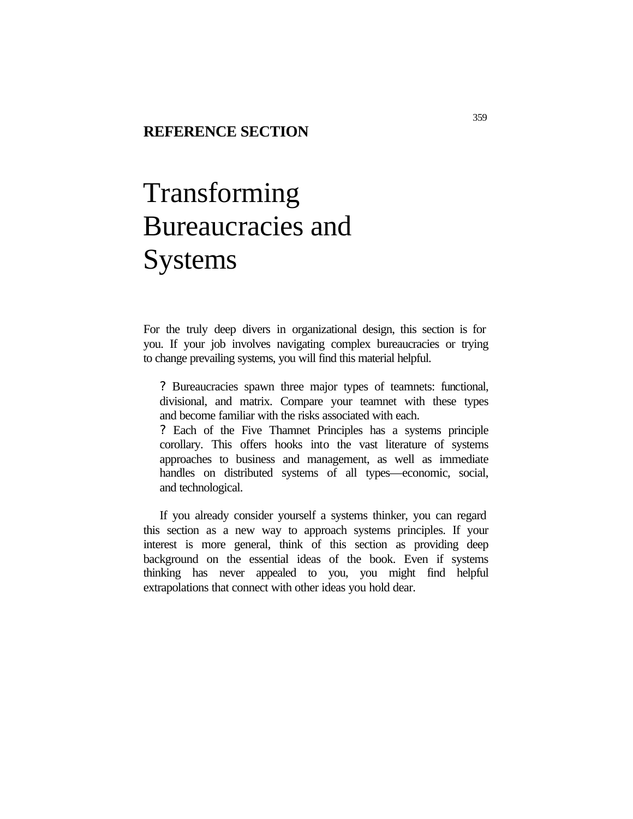# Transforming Bureaucracies and Systems

For the truly deep divers in organizational design, this section is for you. If your job involves navigating complex bureaucracies or trying to change prevailing systems, you will find this material helpful.

? Bureaucracies spawn three major types of teamnets: functional, divisional, and matrix. Compare your teamnet with these types and become familiar with the risks associated with each.

? Each of the Five Thamnet Principles has a systems principle corollary. This offers hooks into the vast literature of systems approaches to business and management, as well as immediate handles on distributed systems of all types—economic, social, and technological.

If you already consider yourself a systems thinker, you can regard this section as a new way to approach systems principles. If your interest is more general, think of this section as providing deep background on the essential ideas of the book. Even if systems thinking has never appealed to you, you might find helpful extrapolations that connect with other ideas you hold dear.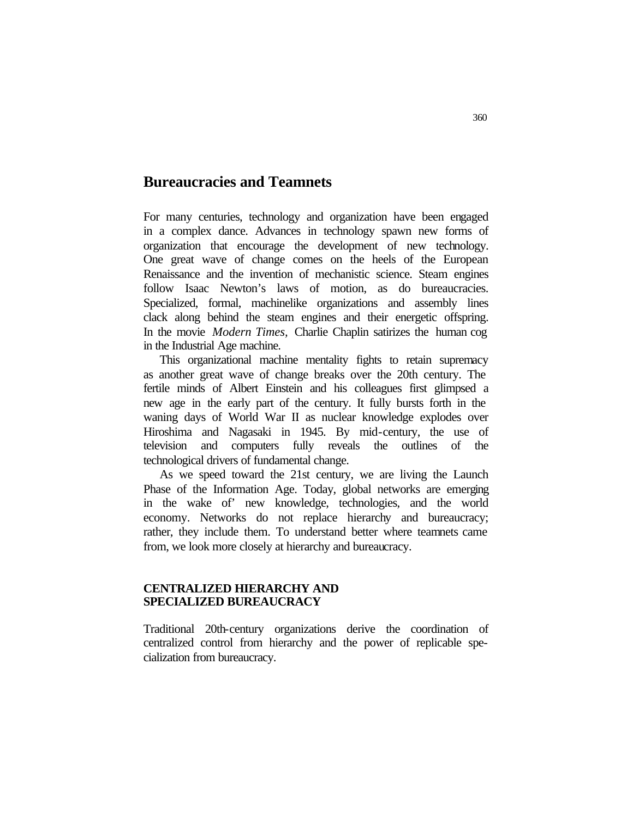# **Bureaucracies and Teamnets**

For many centuries, technology and organization have been engaged in a complex dance. Advances in technology spawn new forms of organization that encourage the development of new technology. One great wave of change comes on the heels of the European Renaissance and the invention of mechanistic science. Steam engines follow Isaac Newton's laws of motion, as do bureaucracies. Specialized, formal, machinelike organizations and assembly lines clack along behind the steam engines and their energetic offspring. In the movie *Modern Times,* Charlie Chaplin satirizes the human cog in the Industrial Age machine.

This organizational machine mentality fights to retain supremacy as another great wave of change breaks over the 20th century. The fertile minds of Albert Einstein and his colleagues first glimpsed a new age in the early part of the century. It fully bursts forth in the waning days of World War II as nuclear knowledge explodes over Hiroshima and Nagasaki in 1945. By mid-century, the use of television and computers fully reveals the outlines of the technological drivers of fundamental change.

As we speed toward the 21st century, we are living the Launch Phase of the Information Age. Today, global networks are emerging in the wake of' new knowledge, technologies, and the world economy. Networks do not replace hierarchy and bureaucracy; rather, they include them. To understand better where teamnets came from, we look more closely at hierarchy and bureaucracy.

#### **CENTRALIZED HIERARCHY AND SPECIALIZED BUREAUCRACY**

Traditional 20th-century organizations derive the coordination of centralized control from hierarchy and the power of replicable specialization from bureaucracy.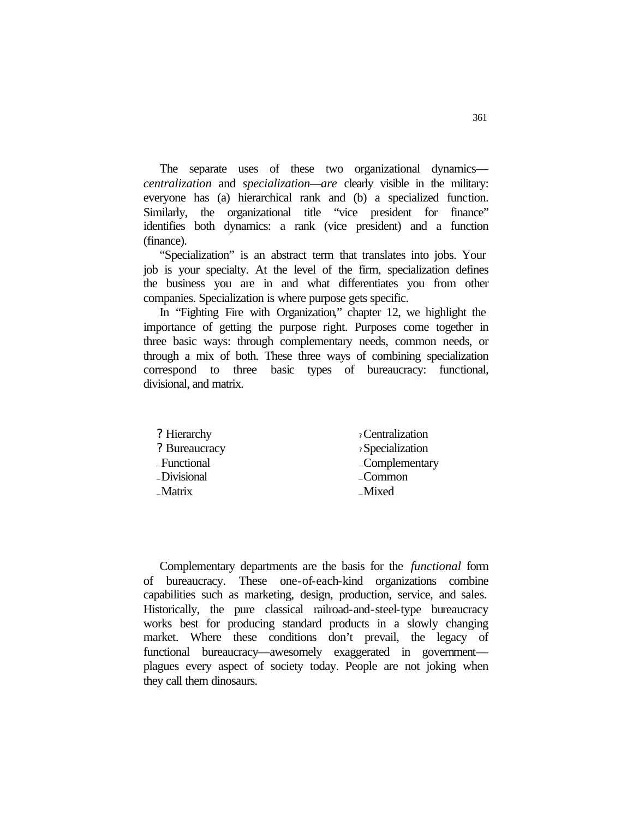The separate uses of these two organizational dynamics *centralization* and *specialization—are* clearly visible in the military: everyone has (a) hierarchical rank and (b) a specialized function. Similarly, the organizational title "vice president for finance" identifies both dynamics: a rank (vice president) and a function (finance).

"Specialization" is an abstract term that translates into jobs. Your job is your specialty. At the level of the firm, specialization defines the business you are in and what differentiates you from other companies. Specialization is where purpose gets specific.

In "Fighting Fire with Organization," chapter 12, we highlight the importance of getting the purpose right. Purposes come together in three basic ways: through complementary needs, common needs, or through a mix of both. These three ways of combining specialization correspond to three basic types of bureaucracy: functional, divisional, and matrix.

| ? Hierarchy   | <sup>2</sup> Centralization |
|---------------|-----------------------------|
| ? Bureaucracy | <sup>2</sup> Specialization |
| -Functional   | -Complementary              |
| -Divisional   | -Common                     |
| -Matrix       | -Mixed                      |
|               |                             |

Complementary departments are the basis for the *functional* form of bureaucracy. These one-of-each-kind organizations combine capabilities such as marketing, design, production, service, and sales. Historically, the pure classical railroad-and-steel-type bureaucracy works best for producing standard products in a slowly changing market. Where these conditions don't prevail, the legacy of functional bureaucracy—awesomely exaggerated in government plagues every aspect of society today. People are not joking when they call them dinosaurs.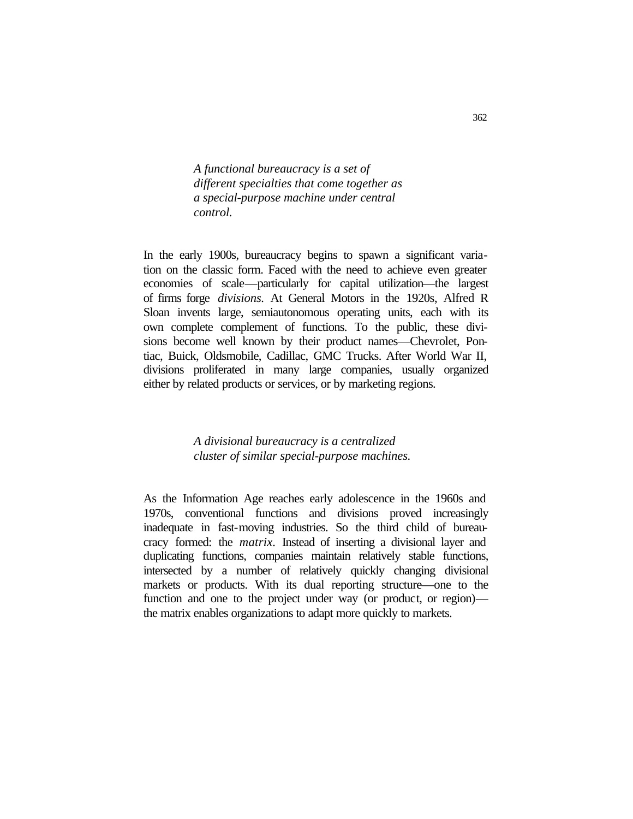*A functional bureaucracy is a set of different specialties that come together as a special-purpose machine under central control.*

In the early 1900s, bureaucracy begins to spawn a significant variation on the classic form. Faced with the need to achieve even greater economies of scale—particularly for capital utilization—the largest of firms forge *divisions.* At General Motors in the 1920s, Alfred R Sloan invents large, semiautonomous operating units, each with its own complete complement of functions. To the public, these divisions become well known by their product names—Chevrolet, Pontiac, Buick, Oldsmobile, Cadillac, GMC Trucks. After World War II, divisions proliferated in many large companies, usually organized either by related products or services, or by marketing regions.

> *A divisional bureaucracy is a centralized cluster of similar special-purpose machines.*

As the Information Age reaches early adolescence in the 1960s and 1970s, conventional functions and divisions proved increasingly inadequate in fast-moving industries. So the third child of bureaucracy formed: the *matrix.* Instead of inserting a divisional layer and duplicating functions, companies maintain relatively stable functions, intersected by a number of relatively quickly changing divisional markets or products. With its dual reporting structure—one to the function and one to the project under way (or product, or region) the matrix enables organizations to adapt more quickly to markets.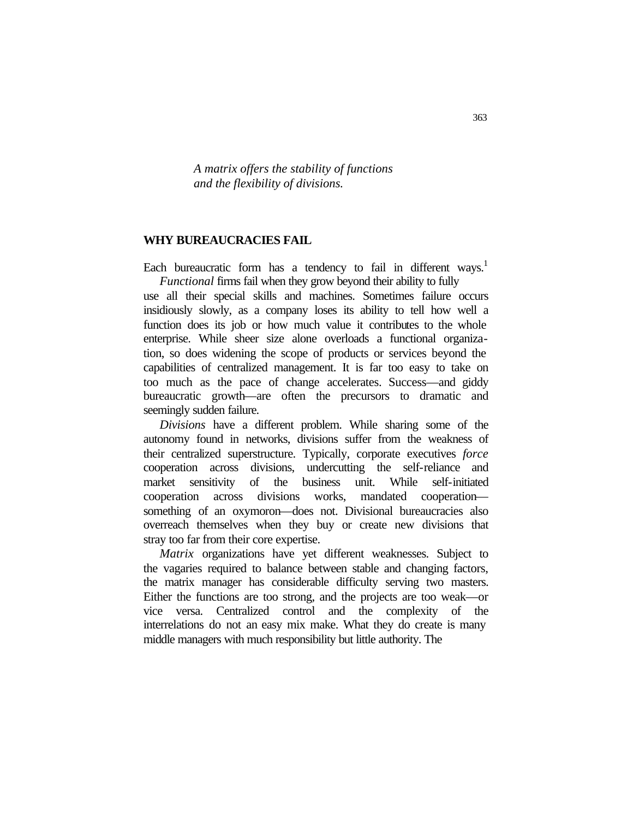*A matrix offers the stability of functions and the flexibility of divisions.*

#### **WHY BUREAUCRACIES FAIL**

Each bureaucratic form has a tendency to fail in different ways.<sup>1</sup> *Functional* firms fail when they grow beyond their ability to fully

use all their special skills and machines. Sometimes failure occurs insidiously slowly, as a company loses its ability to tell how well a function does its job or how much value it contributes to the whole enterprise. While sheer size alone overloads a functional organization, so does widening the scope of products or services beyond the capabilities of centralized management. It is far too easy to take on too much as the pace of change accelerates. Success—and giddy bureaucratic growth—are often the precursors to dramatic and seemingly sudden failure.

*Divisions* have a different problem. While sharing some of the autonomy found in networks, divisions suffer from the weakness of their centralized superstructure. Typically, corporate executives *force*  cooperation across divisions, undercutting the self-reliance and market sensitivity of the business unit. While self-initiated cooperation across divisions works, mandated cooperation something of an oxymoron—does not. Divisional bureaucracies also overreach themselves when they buy or create new divisions that stray too far from their core expertise.

*Matrix* organizations have yet different weaknesses. Subject to the vagaries required to balance between stable and changing factors, the matrix manager has considerable difficulty serving two masters. Either the functions are too strong, and the projects are too weak—or vice versa. Centralized control and the complexity of the interrelations do not an easy mix make. What they do create is many middle managers with much responsibility but little authority. The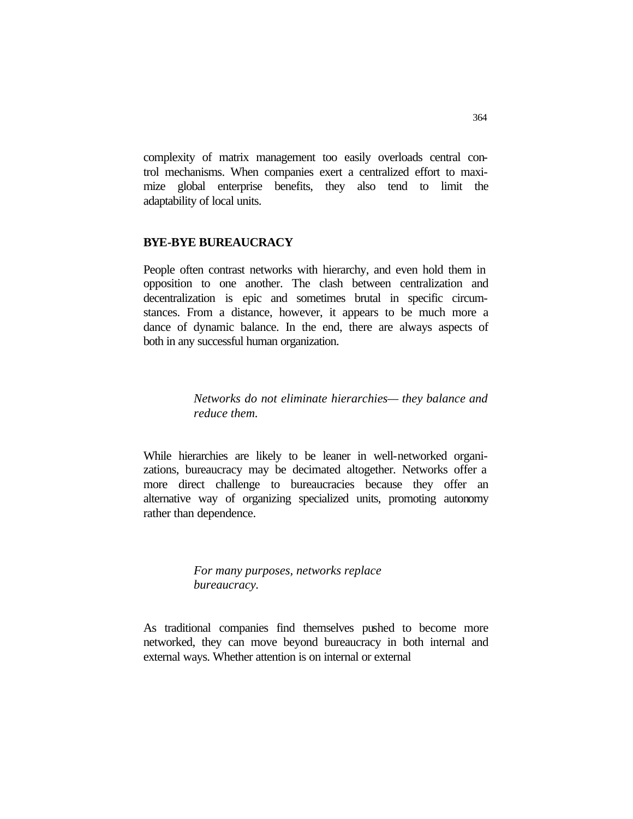complexity of matrix management too easily overloads central control mechanisms. When companies exert a centralized effort to maximize global enterprise benefits, they also tend to limit the adaptability of local units.

#### **BYE-BYE BUREAUCRACY**

People often contrast networks with hierarchy, and even hold them in opposition to one another. The clash between centralization and decentralization is epic and sometimes brutal in specific circumstances. From a distance, however, it appears to be much more a dance of dynamic balance. In the end, there are always aspects of both in any successful human organization.

> *Networks do not eliminate hierarchies— they balance and reduce them.*

While hierarchies are likely to be leaner in well-networked organizations, bureaucracy may be decimated altogether. Networks offer a more direct challenge to bureaucracies because they offer an alternative way of organizing specialized units, promoting autonomy rather than dependence.

> *For many purposes, networks replace bureaucracy.*

As traditional companies find themselves pushed to become more networked, they can move beyond bureaucracy in both internal and external ways. Whether attention is on internal or external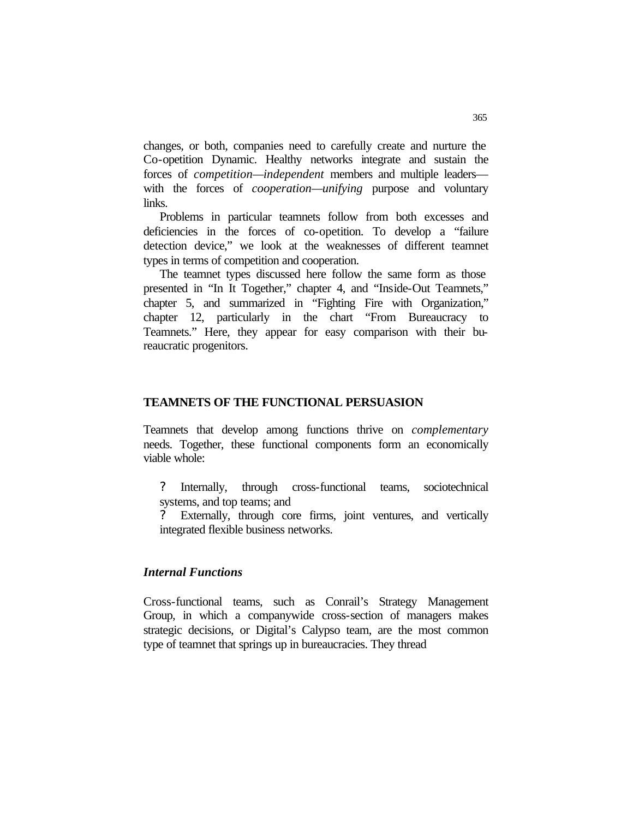changes, or both, companies need to carefully create and nurture the Co-opetition Dynamic. Healthy networks integrate and sustain the forces of *competition—independent* members and multiple leaders with the forces of *cooperation—unifying* purpose and voluntary links.

Problems in particular teamnets follow from both excesses and deficiencies in the forces of co-opetition. To develop a "failure detection device," we look at the weaknesses of different teamnet types in terms of competition and cooperation.

The teamnet types discussed here follow the same form as those presented in "In It Together," chapter 4, and "Inside-Out Teamnets," chapter 5, and summarized in "Fighting Fire with Organization," chapter 12, particularly in the chart "From Bureaucracy to Teamnets." Here, they appear for easy comparison with their bureaucratic progenitors.

#### **TEAMNETS OF THE FUNCTIONAL PERSUASION**

Teamnets that develop among functions thrive on *complementary*  needs. Together, these functional components form an economically viable whole:

? Internally, through cross-functional teams, sociotechnical systems, and top teams; and

Externally, through core firms, joint ventures, and vertically integrated flexible business networks.

#### *Internal Functions*

Cross-functional teams, such as Conrail's Strategy Management Group, in which a companywide cross-section of managers makes strategic decisions, or Digital's Calypso team, are the most common type of teamnet that springs up in bureaucracies. They thread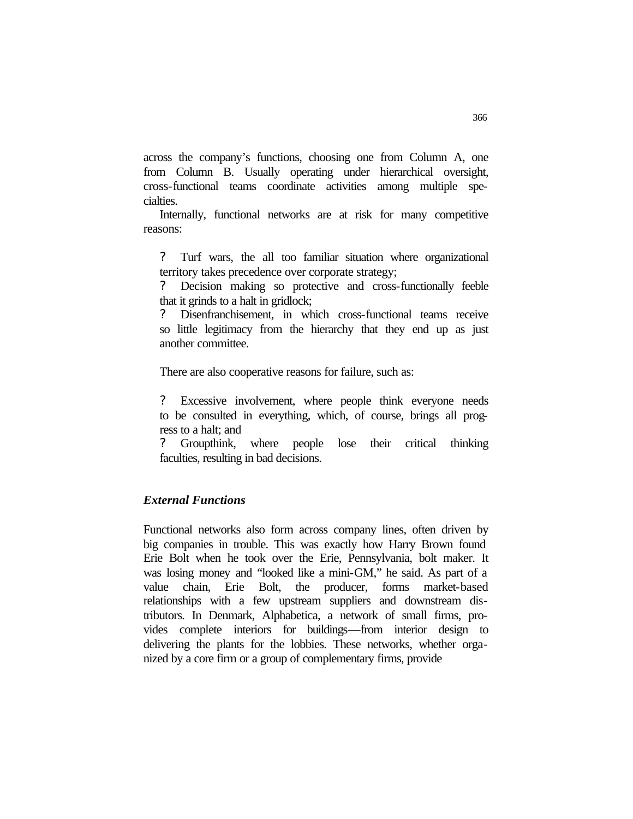across the company's functions, choosing one from Column A, one from Column B. Usually operating under hierarchical oversight, cross-functional teams coordinate activities among multiple specialties.

Internally, functional networks are at risk for many competitive reasons:

? Turf wars, the all too familiar situation where organizational territory takes precedence over corporate strategy;

? Decision making so protective and cross-functionally feeble that it grinds to a halt in gridlock;

? Disenfranchisement, in which cross-functional teams receive so little legitimacy from the hierarchy that they end up as just another committee.

There are also cooperative reasons for failure, such as:

? Excessive involvement, where people think everyone needs to be consulted in everything, which, of course, brings all progress to a halt; and

? Groupthink, where people lose their critical thinking faculties, resulting in bad decisions.

## *External Functions*

Functional networks also form across company lines, often driven by big companies in trouble. This was exactly how Harry Brown found Erie Bolt when he took over the Erie, Pennsylvania, bolt maker. It was losing money and "looked like a mini-GM," he said. As part of a value chain, Erie Bolt, the producer, forms market-based relationships with a few upstream suppliers and downstream distributors. In Denmark, Alphabetica, a network of small firms, provides complete interiors for buildings—from interior design to delivering the plants for the lobbies. These networks, whether organized by a core firm or a group of complementary firms, provide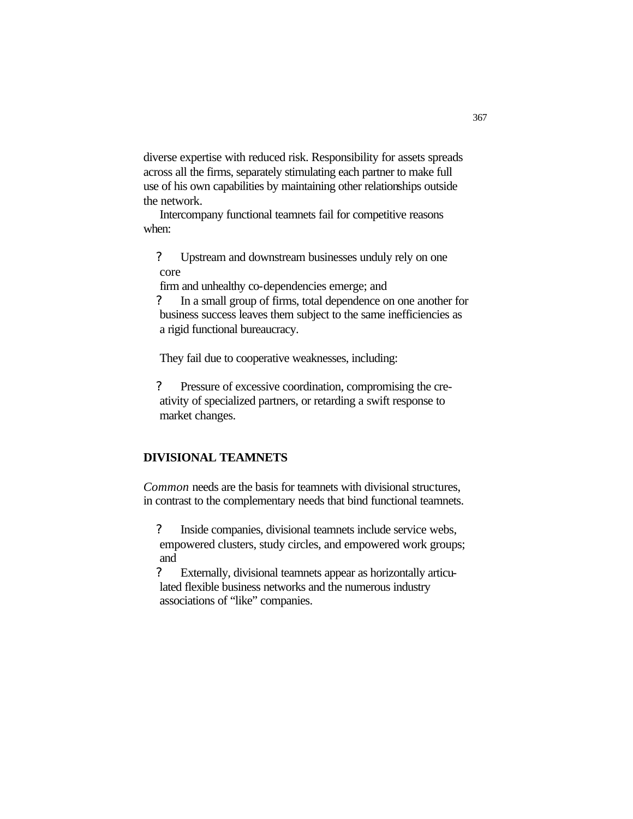diverse expertise with reduced risk. Responsibility for assets spreads across all the firms, separately stimulating each partner to make full use of his own capabilities by maintaining other relationships outside the network.

Intercompany functional teamnets fail for competitive reasons when:

? Upstream and downstream businesses unduly rely on one core

firm and unhealthy co-dependencies emerge; and

? In a small group of firms, total dependence on one another for business success leaves them subject to the same inefficiencies as a rigid functional bureaucracy.

They fail due to cooperative weaknesses, including:

? Pressure of excessive coordination, compromising the creativity of specialized partners, or retarding a swift response to market changes.

## **DIVISIONAL TEAMNETS**

*Common* needs are the basis for teamnets with divisional structures, in contrast to the complementary needs that bind functional teamnets.

? Inside companies, divisional teamnets include service webs, empowered clusters, study circles, and empowered work groups; and

? Externally, divisional teamnets appear as horizontally articulated flexible business networks and the numerous industry associations of "like" companies.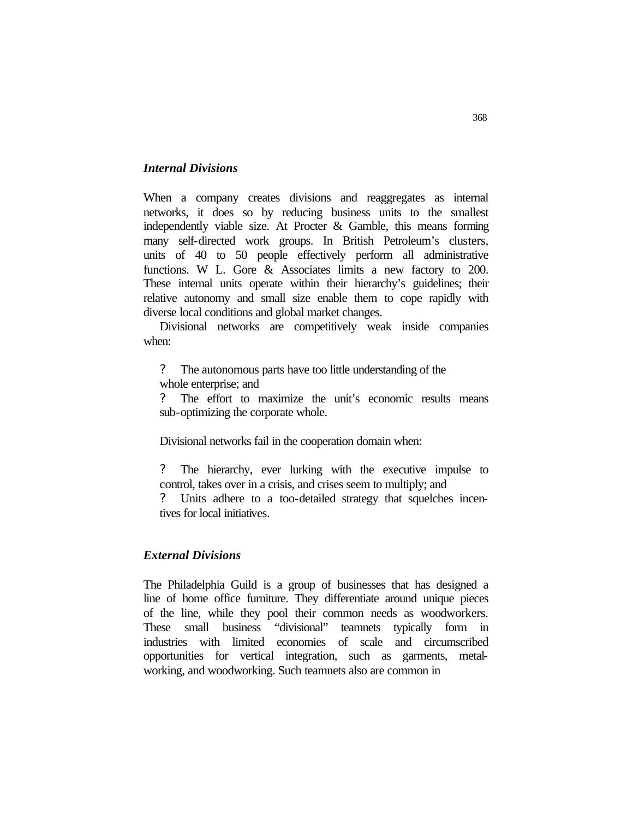#### *Internal Divisions*

When a company creates divisions and reaggregates as internal networks, it does so by reducing business units to the smallest independently viable size. At Procter & Gamble, this means forming many self-directed work groups. In British Petroleum's clusters, units of 40 to 50 people effectively perform all administrative functions. W L. Gore & Associates limits a new factory to 200. These internal units operate within their hierarchy's guidelines; their relative autonomy and small size enable them to cope rapidly with diverse local conditions and global market changes.

Divisional networks are competitively weak inside companies when:

? The autonomous parts have too little understanding of the whole enterprise; and

The effort to maximize the unit's economic results means sub-optimizing the corporate whole.

Divisional networks fail in the cooperation domain when:

? The hierarchy, ever lurking with the executive impulse to control, takes over in a crisis, and crises seem to multiply; and

? Units adhere to a too-detailed strategy that squelches incentives for local initiatives.

#### *External Divisions*

The Philadelphia Guild is a group of businesses that has designed a line of home office furniture. They differentiate around unique pieces of the line, while they pool their common needs as woodworkers. These small business "divisional" teamnets typically form in industries with limited economies of scale and circumscribed opportunities for vertical integration, such as garments, metalworking, and woodworking. Such teamnets also are common in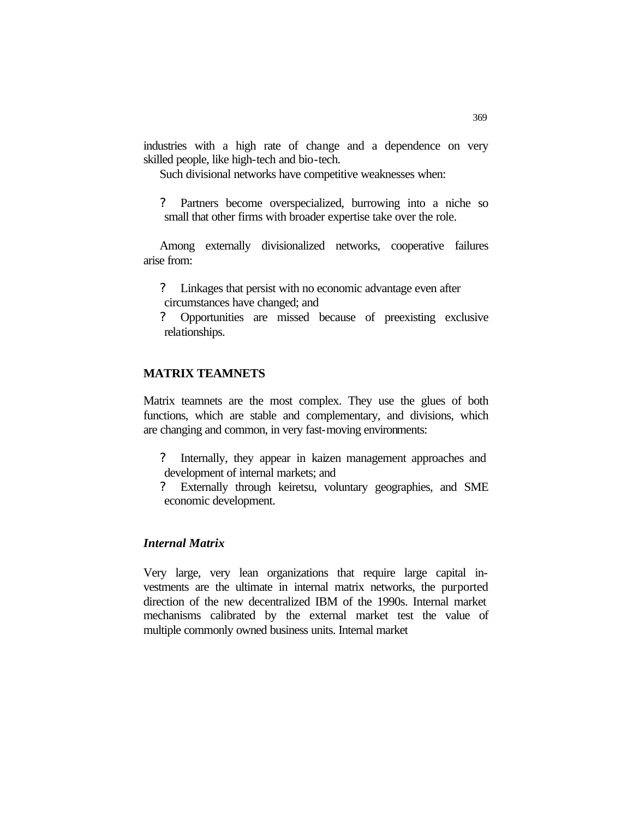industries with a high rate of change and a dependence on very skilled people, like high-tech and bio-tech.

Such divisional networks have competitive weaknesses when:

? Partners become overspecialized, burrowing into a niche so small that other firms with broader expertise take over the role.

Among externally divisionalized networks, cooperative failures arise from:

? Linkages that persist with no economic advantage even after circumstances have changed; and

? Opportunities are missed because of preexisting exclusive relationships.

#### **MATRIX TEAMNETS**

Matrix teamnets are the most complex. They use the glues of both functions, which are stable and complementary, and divisions, which are changing and common, in very fast-moving environments:

? Internally, they appear in kaizen management approaches and development of internal markets; and

? Externally through keiretsu, voluntary geographies, and SME economic development.

#### *Internal Matrix*

Very large, very lean organizations that require large capital investments are the ultimate in internal matrix networks, the purported direction of the new decentralized IBM of the 1990s. Internal market mechanisms calibrated by the external market test the value of multiple commonly owned business units. Internal market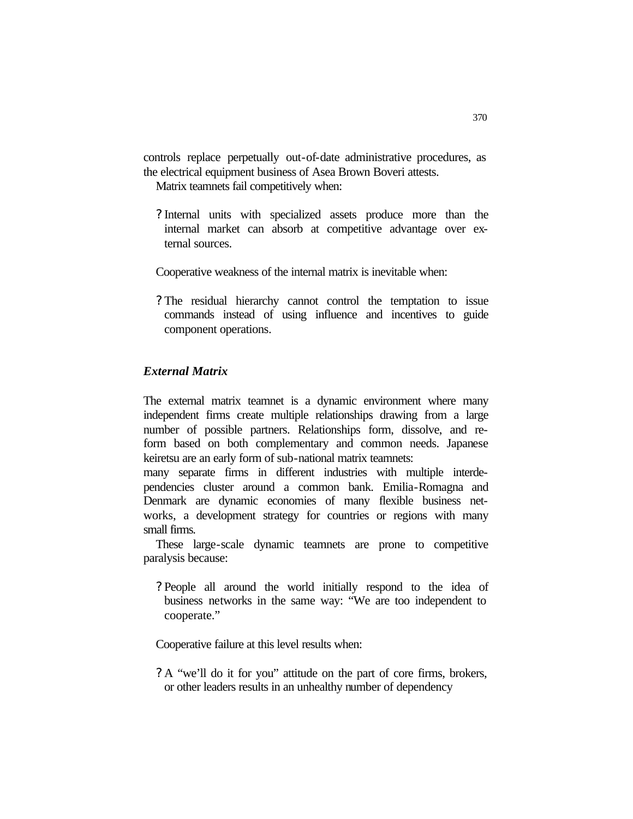controls replace perpetually out-of-date administrative procedures, as the electrical equipment business of Asea Brown Boveri attests.

Matrix teamnets fail competitively when:

- ? Internal units with specialized assets produce more than the internal market can absorb at competitive advantage over external sources.
- Cooperative weakness of the internal matrix is inevitable when:
- ? The residual hierarchy cannot control the temptation to issue commands instead of using influence and incentives to guide component operations.

#### *External Matrix*

The external matrix teamnet is a dynamic environment where many independent firms create multiple relationships drawing from a large number of possible partners. Relationships form, dissolve, and reform based on both complementary and common needs. Japanese keiretsu are an early form of sub-national matrix teamnets:

many separate firms in different industries with multiple interdependencies cluster around a common bank. Emilia-Romagna and Denmark are dynamic economies of many flexible business networks, a development strategy for countries or regions with many small firms.

These large-scale dynamic teamnets are prone to competitive paralysis because:

? People all around the world initially respond to the idea of business networks in the same way: "We are too independent to cooperate."

Cooperative failure at this level results when:

? A "we'll do it for you" attitude on the part of core firms, brokers, or other leaders results in an unhealthy number of dependency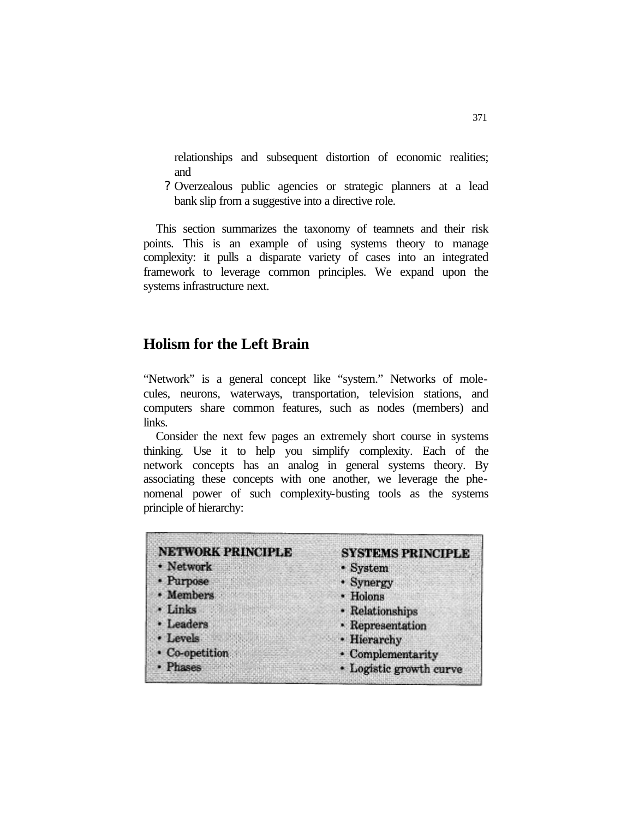relationships and subsequent distortion of economic realities; and

? Overzealous public agencies or strategic planners at a lead bank slip from a suggestive into a directive role.

This section summarizes the taxonomy of teamnets and their risk points. This is an example of using systems theory to manage complexity: it pulls a disparate variety of cases into an integrated framework to leverage common principles. We expand upon the systems infrastructure next.

# **Holism for the Left Brain**

"Network" is a general concept like "system." Networks of molecules, neurons, waterways, transportation, television stations, and computers share common features, such as nodes (members) and links.

Consider the next few pages an extremely short course in systems thinking. Use it to help you simplify complexity. Each of the network concepts has an analog in general systems theory. By associating these concepts with one another, we leverage the phenomenal power of such complexity-busting tools as the systems principle of hierarchy:

| <b>NETWORK PRINCIPLE</b> | <b>SYSTEMS PRINCIPLE</b> |
|--------------------------|--------------------------|
| · Network                | · System                 |
| · Purpose                | · Synergy                |
| * Members                | · Holons                 |
| · Links                  | · Relationships          |
| · Leaders                | · Representation         |
| · Levels                 | · Hierarchy              |
| • Co-opetition           | • Complementarity        |
| · Phases                 | · Logistic growth curve  |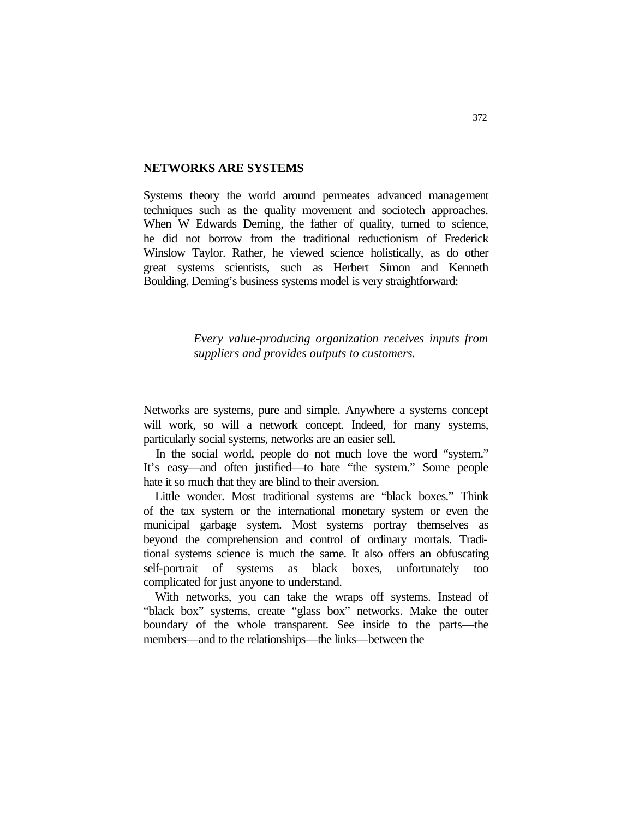#### **NETWORKS ARE SYSTEMS**

Systems theory the world around permeates advanced management techniques such as the quality movement and sociotech approaches. When W Edwards Deming, the father of quality, turned to science, he did not borrow from the traditional reductionism of Frederick Winslow Taylor. Rather, he viewed science holistically, as do other great systems scientists, such as Herbert Simon and Kenneth Boulding. Deming's business systems model is very straightforward:

> *Every value-producing organization receives inputs from suppliers and provides outputs to customers.*

Networks are systems, pure and simple. Anywhere a systems concept will work, so will a network concept. Indeed, for many systems, particularly social systems, networks are an easier sell.

In the social world, people do not much love the word "system." It's easy—and often justified—to hate "the system." Some people hate it so much that they are blind to their aversion.

Little wonder. Most traditional systems are "black boxes." Think of the tax system or the international monetary system or even the municipal garbage system. Most systems portray themselves as beyond the comprehension and control of ordinary mortals. Traditional systems science is much the same. It also offers an obfuscating self-portrait of systems as black boxes, unfortunately too complicated for just anyone to understand.

With networks, you can take the wraps off systems. Instead of "black box" systems, create "glass box" networks. Make the outer boundary of the whole transparent. See inside to the parts—the members—and to the relationships—the links—between the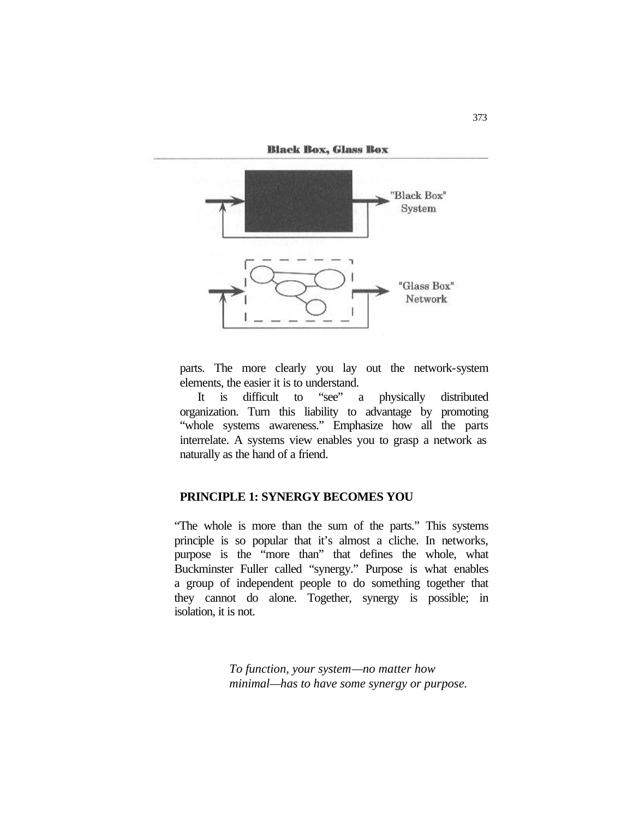

parts. The more clearly you lay out the network-system elements, the easier it is to understand.<br>It is difficult to "see" a

It is difficult to "see" a physically distributed organization. Turn this liability to advantage by promoting "whole systems awareness." Emphasize how all the parts interrelate. A systems view enables you to grasp a network as naturally as the hand of a friend.

# **PRINCIPLE 1: SYNERGY BECOMES YOU**

"The whole is more than the sum of the parts." This systems principle is so popular that it's almost a cliche. In networks, purpose is the "more than" that defines the whole, what Buckminster Fuller called "synergy." Purpose is what enables a group of independent people to do something together that they cannot do alone. Together, synergy is possible; in isolation, it is not.

> *To function, your system—no matter how minimal—has to have some synergy or purpose.*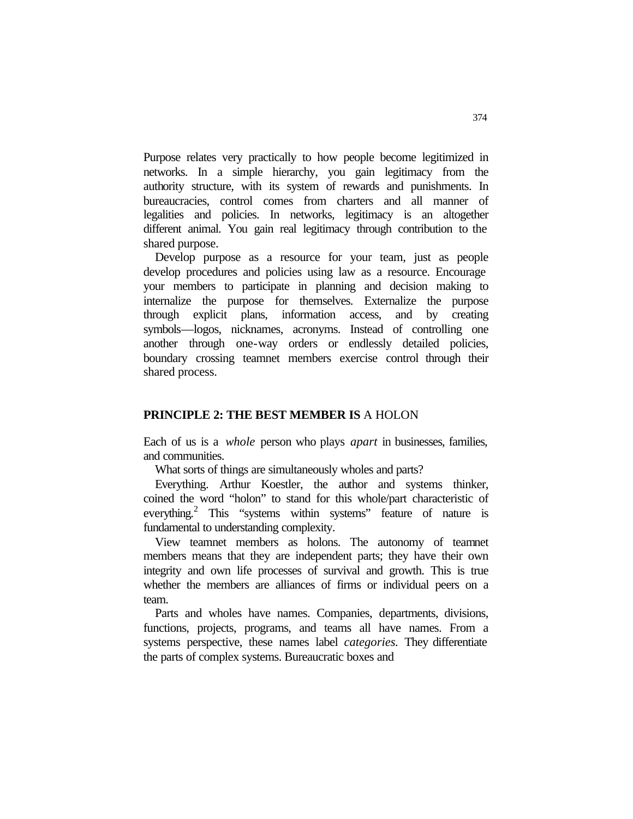Purpose relates very practically to how people become legitimized in networks. In a simple hierarchy, you gain legitimacy from the authority structure, with its system of rewards and punishments. In bureaucracies, control comes from charters and all manner of legalities and policies. In networks, legitimacy is an altogether different animal. You gain real legitimacy through contribution to the shared purpose.

Develop purpose as a resource for your team, just as people develop procedures and policies using law as a resource. Encourage your members to participate in planning and decision making to internalize the purpose for themselves. Externalize the purpose through explicit plans, information access, and by creating symbols—logos, nicknames, acronyms. Instead of controlling one another through one-way orders or endlessly detailed policies, boundary crossing teamnet members exercise control through their shared process.

#### **PRINCIPLE 2: THE BEST MEMBER IS** A HOLON

Each of us is a *whole* person who plays *apart* in businesses, families, and communities.

What sorts of things are simultaneously wholes and parts?

Everything. Arthur Koestler, the author and systems thinker, coined the word "holon" to stand for this whole/part characteristic of everything.<sup>2</sup> This "systems within systems" feature of nature is fundamental to understanding complexity.

View teamnet members as holons. The autonomy of teamnet members means that they are independent parts; they have their own integrity and own life processes of survival and growth. This is true whether the members are alliances of firms or individual peers on a team.

Parts and wholes have names. Companies, departments, divisions, functions, projects, programs, and teams all have names. From a systems perspective, these names label *categories.* They differentiate the parts of complex systems. Bureaucratic boxes and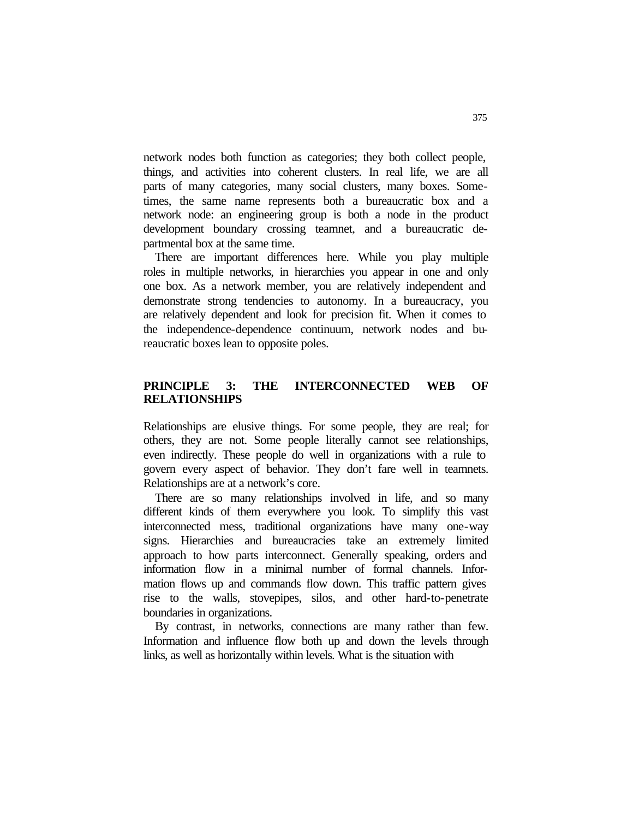network nodes both function as categories; they both collect people, things, and activities into coherent clusters. In real life, we are all parts of many categories, many social clusters, many boxes. Sometimes, the same name represents both a bureaucratic box and a network node: an engineering group is both a node in the product development boundary crossing teamnet, and a bureaucratic departmental box at the same time.

There are important differences here. While you play multiple roles in multiple networks, in hierarchies you appear in one and only one box. As a network member, you are relatively independent and demonstrate strong tendencies to autonomy. In a bureaucracy, you are relatively dependent and look for precision fit. When it comes to the independence-dependence continuum, network nodes and bureaucratic boxes lean to opposite poles.

#### **PRINCIPLE 3: THE INTERCONNECTED WEB OF RELATIONSHIPS**

Relationships are elusive things. For some people, they are real; for others, they are not. Some people literally cannot see relationships, even indirectly. These people do well in organizations with a rule to govern every aspect of behavior. They don't fare well in teamnets. Relationships are at a network's core.

There are so many relationships involved in life, and so many different kinds of them everywhere you look. To simplify this vast interconnected mess, traditional organizations have many one-way signs. Hierarchies and bureaucracies take an extremely limited approach to how parts interconnect. Generally speaking, orders and information flow in a minimal number of formal channels. Information flows up and commands flow down. This traffic pattern gives rise to the walls, stovepipes, silos, and other hard-to-penetrate boundaries in organizations.

By contrast, in networks, connections are many rather than few. Information and influence flow both up and down the levels through links, as well as horizontally within levels. What is the situation with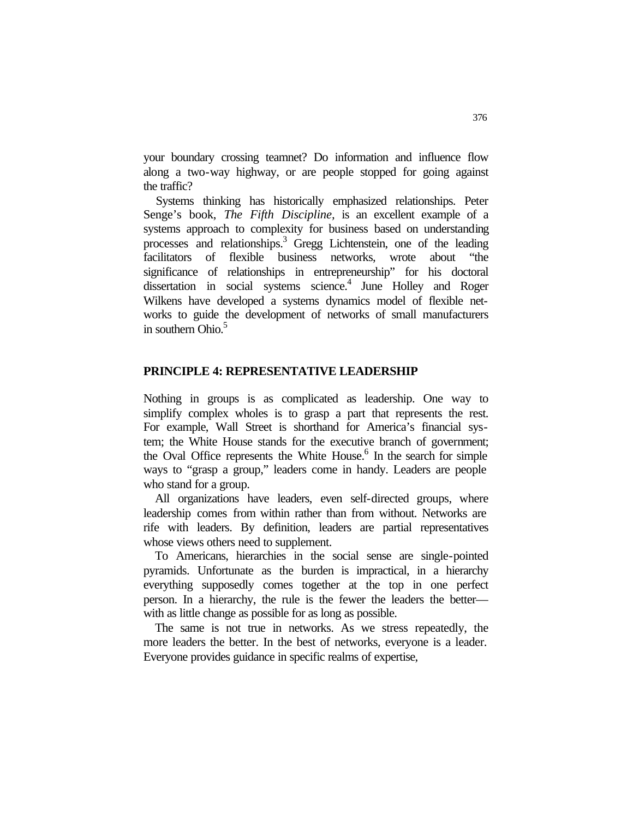your boundary crossing teamnet? Do information and influence flow along a two-way highway, or are people stopped for going against the traffic?

Systems thinking has historically emphasized relationships. Peter Senge's book, *The Fifth Discipline,* is an excellent example of a systems approach to complexity for business based on understanding processes and relationships.<sup>3</sup> Gregg Lichtenstein, one of the leading facilitators of flexible business networks, wrote about "the significance of relationships in entrepreneurship" for his doctoral dissertation in social systems science.<sup>4</sup> June Holley and Roger Wilkens have developed a systems dynamics model of flexible networks to guide the development of networks of small manufacturers in southern  $Ohio.<sup>5</sup>$ 

#### **PRINCIPLE 4: REPRESENTATIVE LEADERSHIP**

Nothing in groups is as complicated as leadership. One way to simplify complex wholes is to grasp a part that represents the rest. For example, Wall Street is shorthand for America's financial system; the White House stands for the executive branch of government; the Oval Office represents the White House.<sup>6</sup> In the search for simple ways to "grasp a group," leaders come in handy. Leaders are people who stand for a group.

All organizations have leaders, even self-directed groups, where leadership comes from within rather than from without. Networks are rife with leaders. By definition, leaders are partial representatives whose views others need to supplement.

To Americans, hierarchies in the social sense are single-pointed pyramids. Unfortunate as the burden is impractical, in a hierarchy everything supposedly comes together at the top in one perfect person. In a hierarchy, the rule is the fewer the leaders the better with as little change as possible for as long as possible.

The same is not true in networks. As we stress repeatedly, the more leaders the better. In the best of networks, everyone is a leader. Everyone provides guidance in specific realms of expertise,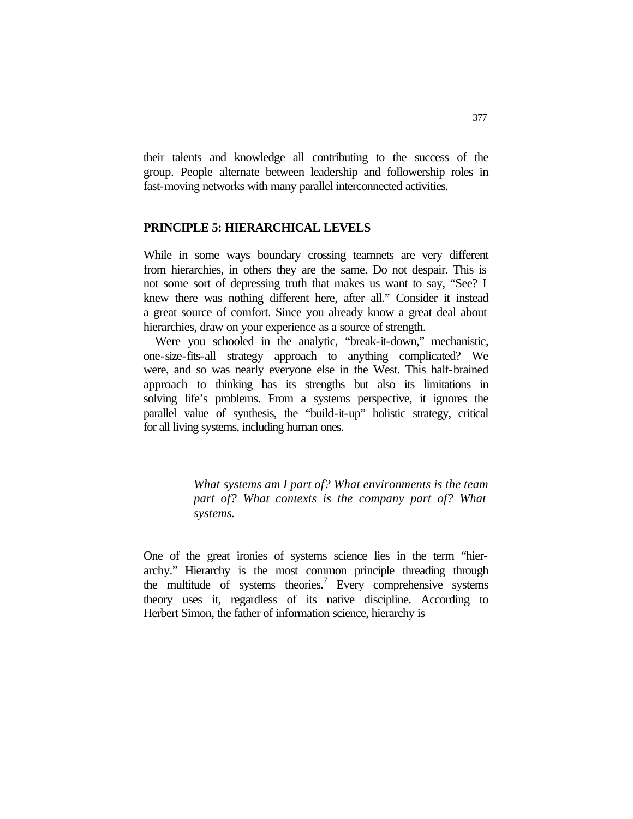their talents and knowledge all contributing to the success of the group. People alternate between leadership and followership roles in fast-moving networks with many parallel interconnected activities.

#### **PRINCIPLE 5: HIERARCHICAL LEVELS**

While in some ways boundary crossing teamnets are very different from hierarchies, in others they are the same. Do not despair. This is not some sort of depressing truth that makes us want to say, "See? I knew there was nothing different here, after all." Consider it instead a great source of comfort. Since you already know a great deal about hierarchies, draw on your experience as a source of strength.

Were you schooled in the analytic, "break-it-down," mechanistic, one-size-fits-all strategy approach to anything complicated? We were, and so was nearly everyone else in the West. This half-brained approach to thinking has its strengths but also its limitations in solving life's problems. From a systems perspective, it ignores the parallel value of synthesis, the "build-it-up" holistic strategy, critical for all living systems, including human ones.

> *What systems am I part of? What environments is the team part of? What contexts is the company part of? What systems.*

One of the great ironies of systems science lies in the term "hierarchy." Hierarchy is the most common principle threading through the multitude of systems theories.<sup>7</sup> Every comprehensive systems theory uses it, regardless of its native discipline. According to Herbert Simon, the father of information science, hierarchy is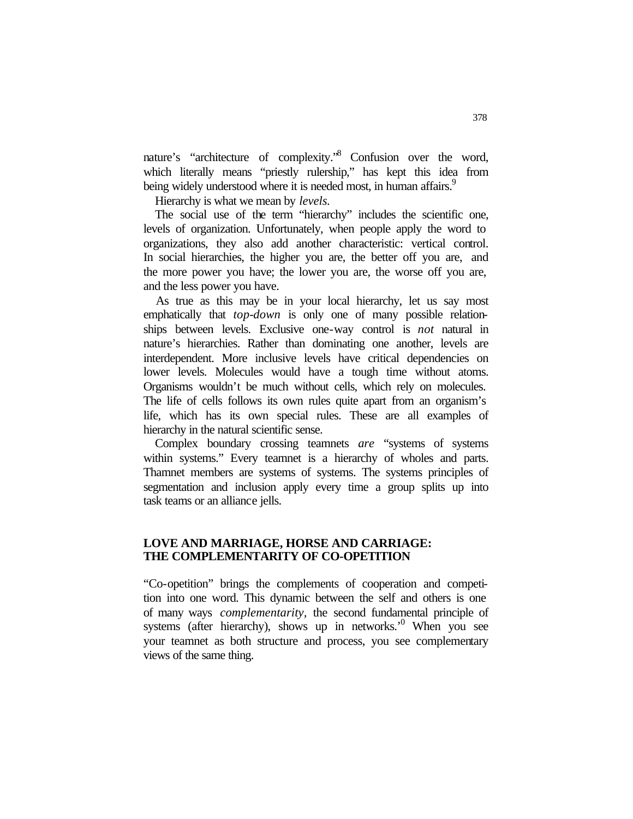nature's "architecture of complexity." Confusion over the word, which literally means "priestly rulership," has kept this idea from being widely understood where it is needed most, in human affairs.<sup>9</sup>

Hierarchy is what we mean by *levels.*

The social use of the term "hierarchy" includes the scientific one, levels of organization. Unfortunately, when people apply the word to organizations, they also add another characteristic: vertical control. In social hierarchies, the higher you are, the better off you are, and the more power you have; the lower you are, the worse off you are, and the less power you have.

As true as this may be in your local hierarchy, let us say most emphatically that *top-down* is only one of many possible relationships between levels. Exclusive one-way control is *not* natural in nature's hierarchies. Rather than dominating one another, levels are interdependent. More inclusive levels have critical dependencies on lower levels. Molecules would have a tough time without atoms. Organisms wouldn't be much without cells, which rely on molecules. The life of cells follows its own rules quite apart from an organism's life, which has its own special rules. These are all examples of hierarchy in the natural scientific sense.

Complex boundary crossing teamnets *are* "systems of systems within systems." Every teamnet is a hierarchy of wholes and parts. Thamnet members are systems of systems. The systems principles of segmentation and inclusion apply every time a group splits up into task teams or an alliance jells.

#### **LOVE AND MARRIAGE, HORSE AND CARRIAGE: THE COMPLEMENTARITY OF CO-OPETITION**

"Co-opetition" brings the complements of cooperation and competition into one word. This dynamic between the self and others is one of many ways *complementarity,* the second fundamental principle of systems (after hierarchy), shows up in networks.<sup> $0$ </sup> When you see your teamnet as both structure and process, you see complementary views of the same thing.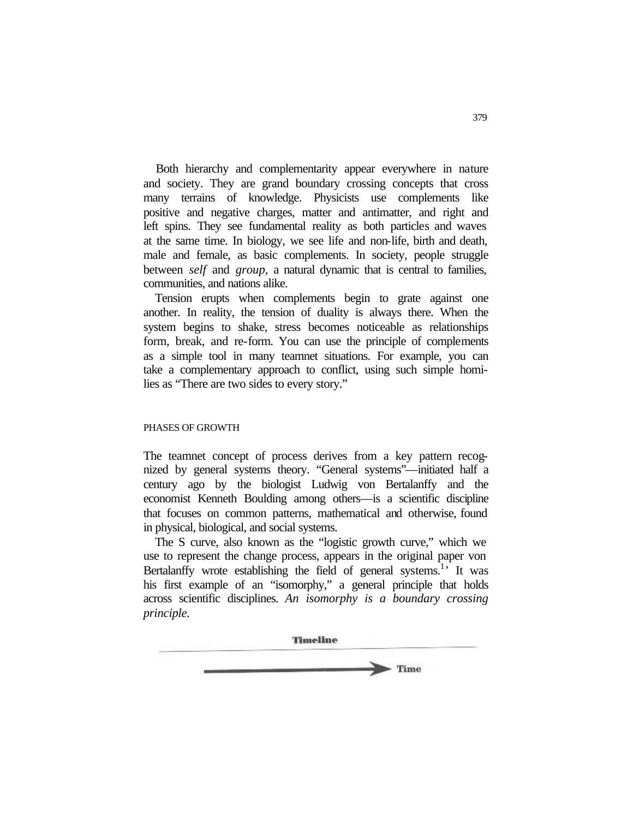Both hierarchy and complementarity appear everywhere in nature and society. They are grand boundary crossing concepts that cross many terrains of knowledge. Physicists use complements like positive and negative charges, matter and antimatter, and right and left spins. They see fundamental reality as both particles and waves at the same time. In biology, we see life and non-life, birth and death, male and female, as basic complements. In society, people struggle between *self* and *group,* a natural dynamic that is central to families, communities, and nations alike.

Tension erupts when complements begin to grate against one another. In reality, the tension of duality is always there. When the system begins to shake, stress becomes noticeable as relationships form, break, and re-form. You can use the principle of complements as a simple tool in many teamnet situations. For example, you can take a complementary approach to conflict, using such simple homilies as "There are two sides to every story."

#### PHASES OF GROWTH

The teamnet concept of process derives from a key pattern recognized by general systems theory. "General systems"—initiated half a century ago by the biologist Ludwig von Bertalanffy and the economist Kenneth Boulding among others—is a scientific discipline that focuses on common patterns, mathematical and otherwise, found in physical, biological, and social systems.

The S curve, also known as the "logistic growth curve," which we use to represent the change process, appears in the original paper von Bertalanffy wrote establishing the field of general systems.<sup>1,</sup> It was his first example of an "isomorphy," a general principle that holds across scientific disciplines. *An isomorphy is a boundary crossing principle.*

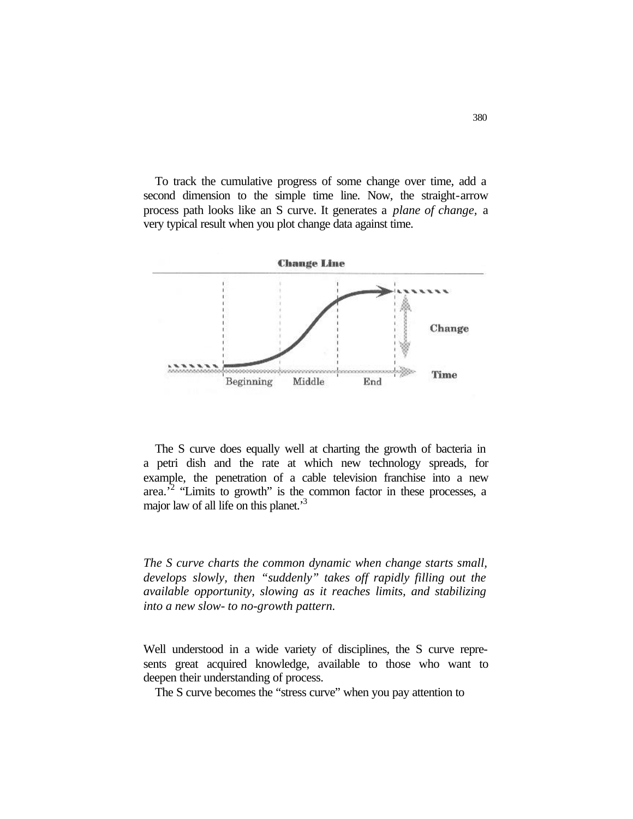To track the cumulative progress of some change over time, add a second dimension to the simple time line. Now, the straight-arrow process path looks like an S curve. It generates a *plane of change,* a very typical result when you plot change data against time.



The S curve does equally well at charting the growth of bacteria in a petri dish and the rate at which new technology spreads, for example, the penetration of a cable television franchise into a new area.<sup> $2$ </sup> "Limits to growth" is the common factor in these processes, a major law of all life on this planet.<sup>3</sup>

*The S curve charts the common dynamic when change starts small, develops slowly, then "suddenly" takes off rapidly filling out the available opportunity, slowing as it reaches limits, and stabilizing into a new slow- to no-growth pattern.*

Well understood in a wide variety of disciplines, the S curve represents great acquired knowledge, available to those who want to deepen their understanding of process.

The S curve becomes the "stress curve" when you pay attention to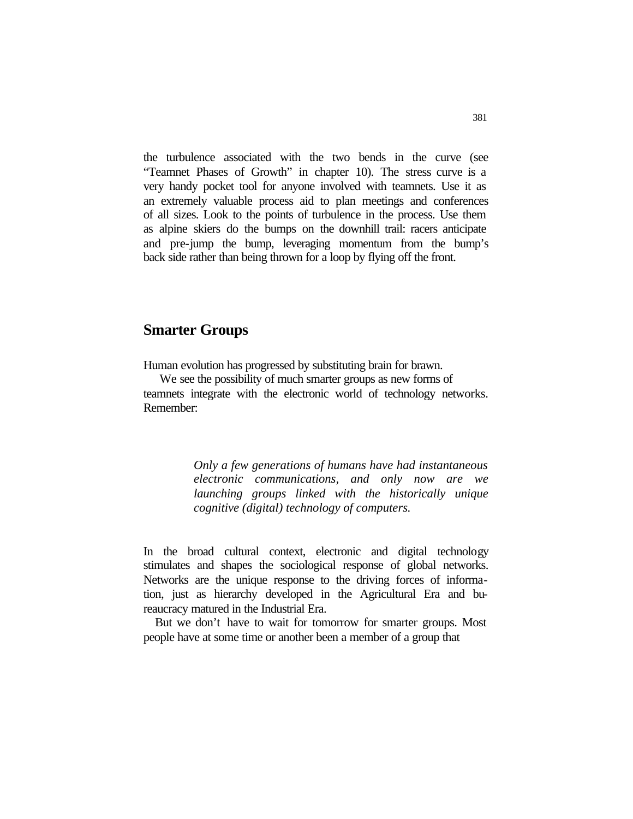the turbulence associated with the two bends in the curve (see "Teamnet Phases of Growth" in chapter 10). The stress curve is a very handy pocket tool for anyone involved with teamnets. Use it as an extremely valuable process aid to plan meetings and conferences of all sizes. Look to the points of turbulence in the process. Use them as alpine skiers do the bumps on the downhill trail: racers anticipate and pre-jump the bump, leveraging momentum from the bump's back side rather than being thrown for a loop by flying off the front.

# **Smarter Groups**

Human evolution has progressed by substituting brain for brawn.

We see the possibility of much smarter groups as new forms of teamnets integrate with the electronic world of technology networks. Remember:

> *Only a few generations of humans have had instantaneous electronic communications, and only now are we launching groups linked with the historically unique cognitive (digital) technology of computers.*

In the broad cultural context, electronic and digital technology stimulates and shapes the sociological response of global networks. Networks are the unique response to the driving forces of information, just as hierarchy developed in the Agricultural Era and bureaucracy matured in the Industrial Era.

But we don't have to wait for tomorrow for smarter groups. Most people have at some time or another been a member of a group that